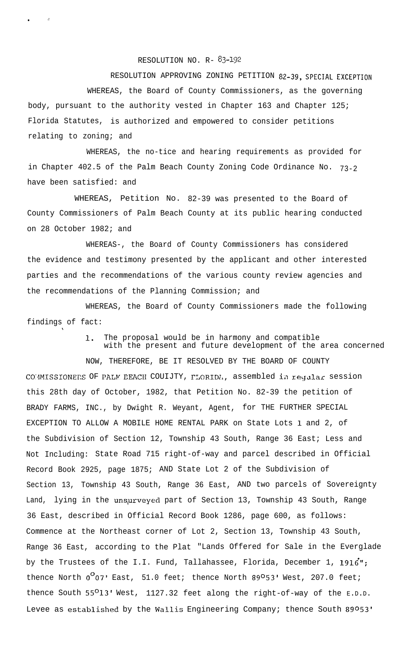## RESOLUTION NO.  $R - 83 - 192$

 $\bullet$  . The set of  $\otimes$  .

 $\ddot{\phantom{1}}$ 

RESOLUTION APPROVING ZONING PETITION 82-39, SPECIAL EXCEPTION WHEREAS, the Board of County Commissioners, as the governing body, pursuant to the authority vested in Chapter 163 and Chapter 125; Florida Statutes, is authorized and empowered to consider petitions relating to zoning; and

WHEREAS, the no-tice and hearing requirements as provided for in Chapter 402.5 of the Palm Beach County Zoning Code Ordinance No.  $73-2$ have been satisfied: and

WHEREAS, Petition No. 82-39 was presented to the Board of County Commissioners of Palm Beach County at its public hearing conducted on 28 October 1982; and

WHEREAS-, the Board of County Commissioners has considered the evidence and testimony presented by the applicant and other interested parties and the recommendations of the various county review agencies and the recommendations of the Planning Commission; and

WHEREAS, the Board of County Commissioners made the following findings of fact:

> 1. The proposal would be in harmony and compatible with the present and future development of the area concerned

NOW, THEREFORE, BE IT RESOLVED BY THE BOARD OF COUNTY COMISSIONERS OF PALM EEACH COUIJTY, FLORIDI, assembled in regular session this 28th day of October, 1982, that Petition No. 82-39 the petition of BRADY FARMS, INC., by Dwight R. Weyant, Agent, for THE FURTHER SPECIAL EXCEPTION TO ALLOW A MOBILE HOME RENTAL PARK on State Lots 1 and 2, of the Subdivision of Section 12, Township 43 South, Range 36 East; Less and Not Including: State Road 715 right-of-way and parcel described in Official Record Book 2925, page 1875; AND State Lot 2 of the Subdivision of Section 13, Township 43 South, Range 36 East, AND two parcels of Sovereignty Land, lying in the unsurveyed part of Section 13, Township 43 South, Range 36 East, described in Official Record Book 1286, page 600, as follows: Commence at the Northeast corner of Lot 2, Section 13, Township 43 South, Range 36 East, according to the Plat "Lands Offered for Sale in the Everglade by the Trustees of the I.I. Fund, Tallahassee, Florida, December 1, 1916"; thence North  $0^{\circ}$ 07' East, 51.0 feet; thence North 89°53' West, 207.0 feet; thence South 55°13' West, 1127.32 feet along the right-of-way of the E.D.D. Levee as established by the Wallis Engineering Company; thence South 89053'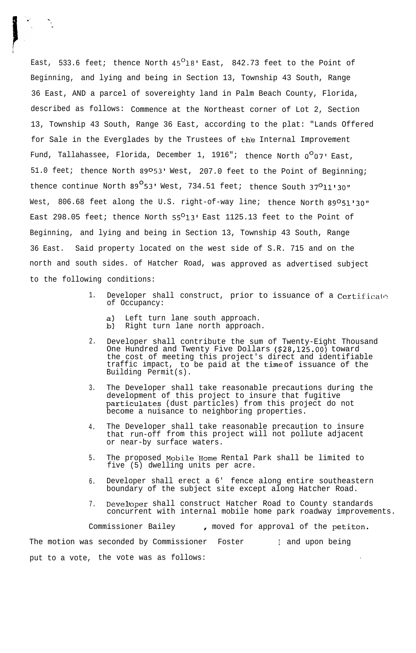East, 533.6 feet; thence North  $45^{\circ}18$ ' East, 842.73 feet to the Point of Beginning, and lying and being in Section 13, Township 43 South, Range 36 East, AND a parcel of sovereighty land in Palm Beach County, Florida, described as follows: Commence at the Northeast corner of Lot 2, Section 13, Township 43 South, Range 36 East, according to the plat: "Lands Offered for Sale in the Everglades by the Trustees of the Internal Improvement Fund, Tallahassee, Florida, December 1, 1916"; thence North  $0^007$ ' East, 51.0 feet; thence North 89053' West, 207.0 feet to the Point of Beginning; thence continue North  $89^{\circ}53'$  West, 734.51 feet; thence South  $37^{\circ}11'30''$ West, 806.68 feet along the U.S. right-of-way line; thence North 89051'30" East 298.05 feet; thence North  $55^O13'$  East 1125.13 feet to the Point of Beginning, and lying and being in Section 13, Township 43 South, Range 36 East. Said property located on the west side of S.R. 715 and on the north and south sides. of Hatcher Road, was approved as advertised subject to the following conditions:

**.' \**

**I- --**

- 1. Developer shall construct, prior to issuance of a Certificate of Occupancy:
	- a) Left turn lane south approach. b) Right turn lane north approach.
- 2. Developer shall contribute the sum of Twenty-Eight Thousand One Hundred and Twenty Five Dollars (\$28,125.00) toward the cost of meeting this project's direct and identifiable traffic impact, to be paid at the time of issuance of the Building Permit(s).
- 3. The Developer shall take reasonable precautions during the development of this project to insure that fugitive particulates (dust particles) from this project do not become a nuisance to neighboring properties.
- 4. The Developer shall take reasonable precaution to insure that run-off from this project will not pollute adjacent or near-by surface waters.
- 5. The proposed Mobile'Home Rental Park shall be limited to five (5) dwelling units per acre.
- 6. Developer shall erect a 6' fence along entire southeastern boundary of the subject site except along Hatcher Road.
- 7. Developer shall construct Hatcher Road to County standards concurrent with internal mobile home park roadway improvements.

Commissioner Bailey (a) moved for approval of the petiton. The motion was seconded by Commissioner Foster I and upon being put to a vote, the vote was as follows: